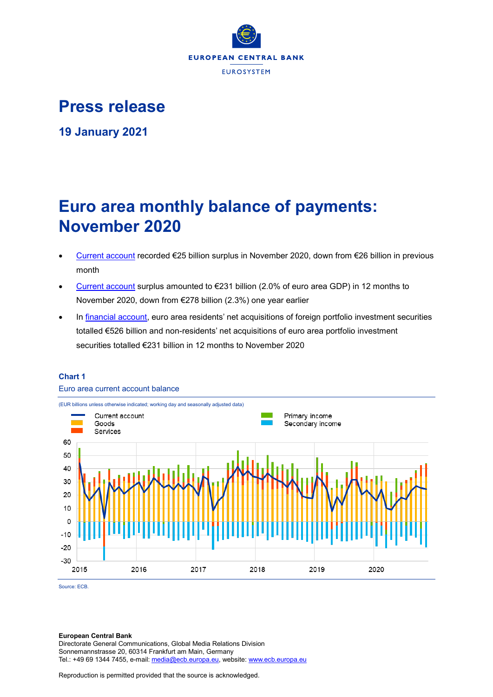

**Press release**

**19 January 2021**

# **Euro area monthly balance of payments: November 2020**

- [Current account](http://sdw.ecb.europa.eu/browseSelection.do?df=true&ec=&dc=&oc=&pb=&rc=&dataSET=0&removeItem=D&removedItemList=&mergeFilter=&activeTab=BP6&showHide=&FREQ.243=M&ADJUSTMENT.243=Y&REF_AREA.243=I8&ACCOUNTING_ENTRY.243=B&INT_ACC_ITEM.243=CA&node=9688874&legendRef=reference) recorded €25 billion surplus in November 2020, down from €26 billion in previous month
- [Current account](http://sdw.ecb.europa.eu/browseSelection.do?df=true&ec=&dc=&oc=&pb=&rc=&dataSET=0&removeItem=D&removedItemList=&mergeFilter=&activeTab=BP6&showHide=&FREQ.243=M&ADJUSTMENT.243=Y&REF_AREA.243=I8&ACCOUNTING_ENTRY.243=B&INT_ACC_ITEM.243=CA&node=9688874&legendRef=reference) surplus amounted to €231 billion (2.0% of euro area GDP) in 12 months to November 2020, down from €278 billion (2.3%) one year earlier
- In [financial account,](http://sdw.ecb.europa.eu/browseSelection.do?type=series&q=BP6.M.N.I8.W1.S1.S1.T.N.FA._T.F._Z.EUR._T._X.N+BP6.M.N.I8.W1.S1.S1.T.A.FA.P.F._Z.EUR._T.M.N+BP6.M.N.I8.W1.S1.S1.T.L.FA.P.F._Z.EUR._T.M.N&node=SEARCHRESULTS&ec=&oc=&rc=&cv=&pb=&dc=&df=) euro area residents' net acquisitions of foreign portfolio investment securities totalled €526 billion and non-residents' net acquisitions of euro area portfolio investment securities totalled €231 billion in 12 months to November 2020



# **Chart 1**

Euro area current account balance

Source: ECB.

## **European Central Bank**

Directorate General Communications, Global Media Relations Division Sonnemannstrasse 20, 60314 Frankfurt am Main, Germany Tel.: +49 69 1344 7455, e-mail[: media@ecb.europa.eu,](mailto:media@ecb.europa.eu) website[: www.ecb.europa.eu](http://www.ecb.europa.eu/)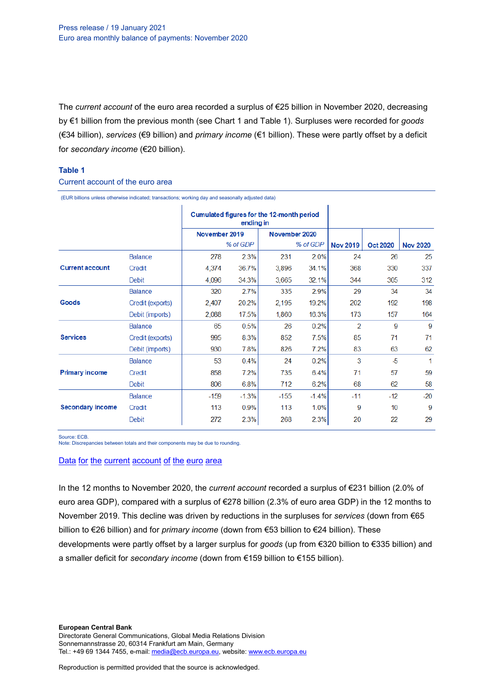The *current account* of the euro area recorded a surplus of €25 billion in November 2020, decreasing by €1 billion from the previous month (see Chart 1 and Table 1). Surpluses were recorded for *goods* (€34 billion), *services* (€9 billion) and *primary income* (€1 billion). These were partly offset by a deficit for *secondary income* (€20 billion).

## **Table 1**

#### Current account of the euro area

(EUR billions unless otherwise indicated; transactions; working day and seasonally adjusted data)

|                         |                  | Cumulated figures for the 12-month period<br>ending in |         |               |         |                 |                 |                 |
|-------------------------|------------------|--------------------------------------------------------|---------|---------------|---------|-----------------|-----------------|-----------------|
|                         |                  | November 2019<br>% of GDP                              |         | November 2020 |         |                 |                 |                 |
|                         |                  |                                                        |         | % of GDP      |         | <b>Nov 2019</b> | <b>Oct 2020</b> | <b>Nov 2020</b> |
|                         | <b>Balance</b>   | 278                                                    | 2.3%    | 231           | 2.0%    | 24              | 26              | 25              |
| <b>Current account</b>  | Credit           | 4,374                                                  | 36.7%   | 3,896         | 34.1%   | 368             | 330             | 337             |
|                         | <b>Debit</b>     | 4,096                                                  | 34.3%   | 3,665         | 32.1%   | 344             | 305             | 312             |
| Goods                   | <b>Balance</b>   | 320                                                    | 2.7%    | 335           | 2.9%    | 29              | 34              | 34              |
|                         | Credit (exports) | 2,407                                                  | 20.2%   | 2,195         | 19.2%   | 202             | 192             | 198             |
|                         | Debit (imports)  | 2,088                                                  | 17.5%   | 1.860         | 16.3%   | 173             | 157             | 164             |
| <b>Services</b>         | <b>Balance</b>   | 65                                                     | 0.5%    | 26            | 0.2%    | $\overline{2}$  | 9               | 9               |
|                         | Credit (exports) | 995                                                    | 8.3%    | 852           | 7.5%    | 85              | 71              | 71              |
|                         | Debit (imports)  | 930                                                    | 7.8%    | 826           | 7.2%    | 83              | 63              | 62              |
| <b>Primary income</b>   | <b>Balance</b>   | 53                                                     | 0.4%    | 24            | 0.2%    | 3               | $-5$            | 1               |
|                         | Credit           | 858                                                    | 7.2%    | 735           | 6.4%    | 71              | 57              | 59              |
|                         | Debit            | 806                                                    | 6.8%    | 712           | 6.2%    | 68              | 62              | 58              |
| <b>Secondary income</b> | <b>Balance</b>   | $-159$                                                 | $-1.3%$ | $-155$        | $-1.4%$ | $-11$           | $-12$           | $-20$           |
|                         | Credit           | 113                                                    | 0.9%    | 113           | 1.0%    | 9               | 10              | 9               |
|                         | <b>Debit</b>     | 272                                                    | 2.3%    | 268           | 2.3%    | 20              | 22              | 29              |

Source: ECB.

Note: Discrepancies between totals and their components may be due to rounding.

#### Data for the current [account](http://sdw.ecb.europa.eu/browseSelection.do?df=true&ec=&dc=&oc=&pb=&rc=&DATASET=0&removeItem=&removedItemList=&mergeFilter=&activeTab=&showHide=&FREQ.243=M&ADJUSTMENT.243=Y&REF_AREA.243=I8&ACCOUNTING_ENTRY.243=B&ACCOUNTING_ENTRY.243=C&ACCOUNTING_ENTRY.243=D&INT_ACC_ITEM.243=CA&INT_ACC_ITEM.243=G&INT_ACC_ITEM.243=IN1&INT_ACC_ITEM.243=IN2&INT_ACC_ITEM.243=S&node=9688874&legendRef=reference&legendNor=) of the euro area

In the 12 months to November 2020, the *current account* recorded a surplus of €231 billion (2.0% of euro area GDP), compared with a surplus of €278 billion (2.3% of euro area GDP) in the 12 months to November 2019. This decline was driven by reductions in the surpluses for *services* (down from €65 billion to €26 billion) and for *primary income* (down from €53 billion to €24 billion). These developments were partly offset by a larger surplus for *goods* (up from €320 billion to €335 billion) and a smaller deficit for *secondary income* (down from €159 billion to €155 billion).

**European Central Bank** Directorate General Communications, Global Media Relations Division Sonnemannstrasse 20, 60314 Frankfurt am Main, Germany Tel.: +49 69 1344 7455, e-mail[: media@ecb.europa.eu,](mailto:media@ecb.europa.eu) website[: www.ecb.europa.eu](http://www.ecb.europa.eu/)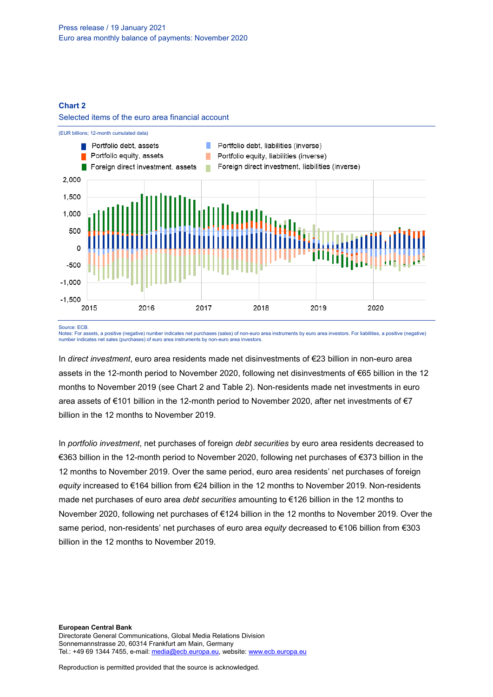## **Chart 2**





Source: ECB.

Notes: For assets, a positive (negative) number indicates net purchases (sales) of non-euro area instruments by euro area investors. For liabilities, a positive (negative) number indicates net sales (purchases) of euro area instruments by non-euro area investors.

In *direct investment*, euro area residents made net disinvestments of €23 billion in non-euro area assets in the 12-month period to November 2020, following net disinvestments of €65 billion in the 12 months to November 2019 (see Chart 2 and Table 2). Non-residents made net investments in euro area assets of €101 billion in the 12-month period to November 2020, after net investments of €7 billion in the 12 months to November 2019.

In *portfolio investment*, net purchases of foreign *debt securities* by euro area residents decreased to €363 billion in the 12-month period to November 2020, following net purchases of €373 billion in the 12 months to November 2019. Over the same period, euro area residents' net purchases of foreign *equity* increased to €164 billion from €24 billion in the 12 months to November 2019. Non-residents made net purchases of euro area *debt securities* amounting to €126 billion in the 12 months to November 2020, following net purchases of €124 billion in the 12 months to November 2019. Over the same period, non-residents' net purchases of euro area *equity* decreased to €106 billion from €303 billion in the 12 months to November 2019.

**European Central Bank** Directorate General Communications, Global Media Relations Division Sonnemannstrasse 20, 60314 Frankfurt am Main, Germany Tel.: +49 69 1344 7455, e-mail[: media@ecb.europa.eu,](mailto:media@ecb.europa.eu) website[: www.ecb.europa.eu](http://www.ecb.europa.eu/)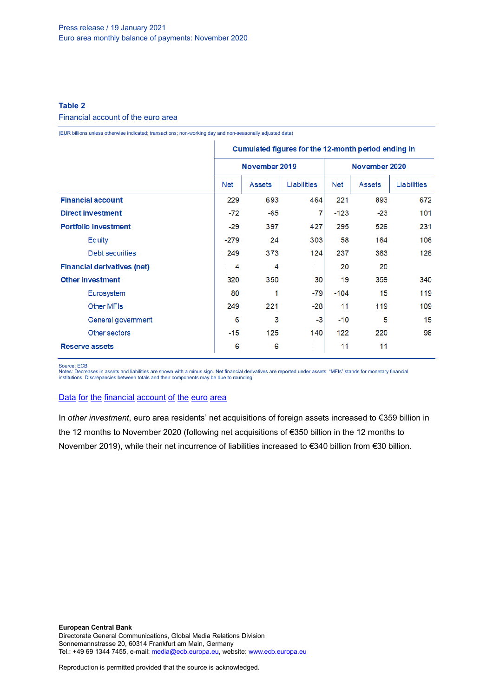## **Table 2**

## Financial account of the euro area

(EUR billions unless otherwise indicated; transactions; non-working day and non-seasonally adjusted data)

|                                    | Cumulated figures for the 12-month period ending in |               |             |               |               |                    |
|------------------------------------|-----------------------------------------------------|---------------|-------------|---------------|---------------|--------------------|
|                                    |                                                     | November 2019 |             | November 2020 |               |                    |
|                                    | Net                                                 | <b>Assets</b> | Liabilities | <b>Net</b>    | <b>Assets</b> | <b>Liabilities</b> |
| <b>Financial account</b>           |                                                     | 693           | 464         | 221           | 893           | 672                |
| <b>Direct investment</b>           | $-72$                                               | $-65$         | 7           | $-123$        | $-23$         | 101                |
| <b>Portfolio investment</b>        | $-29$                                               | 397           | 427         | 295           | 526           | 231                |
| Equity                             | $-279$                                              | 24            | 303         | 58            | 164           | 106                |
| Debt securities                    | 249                                                 | 373           | 124         | 237           | 363           | 126                |
| <b>Financial derivatives (net)</b> | 4                                                   | 4             |             | 20            | 20            |                    |
| <b>Other investment</b>            | 320                                                 | 350           | 30          | 19            | 359           | 340                |
| Eurosystem                         | 80                                                  | 1             | $-79$       | $-104$        | 15            | 119                |
| Other MFIs                         | 249                                                 | 221           | $-28$       | 11            | 119           | 109                |
| General government                 | 6                                                   | 3             | -3          | $-10$         | 5             | 15                 |
| Other sectors                      | $-15$                                               | 125           | 140         | 122           | 220           | 98                 |
| <b>Reserve assets</b>              | 6                                                   | 6             |             | 11            | 11            |                    |

Source: ECB.

Notes: Decreases in assets and liabilities are shown with a minus sign. Net financial derivatives are reported under assets. "MFIs" stands for monetary financial institutions. Discrepancies between totals and their components may be due to rounding.

## Data for the [financial](http://sdw.ecb.europa.eu/browseSelection.do?df=true&ec=&dc=&oc=&pb=&rc=&DATASET=0&removeItem=&removedItemList=&mergeFilter=&activeTab=&showHide=&FREQ.243=M&REF_AREA.243=I8&REF_SECTOR.243=S1&REF_SECTOR.243=S121&REF_SECTOR.243=S12T&REF_SECTOR.243=S13&REF_SECTOR.243=S1P&COUNTERPART_SECTOR.243=S1&FLOW_STOCK_ENTRY.243=T&ACCOUNTING_ENTRY.243=A&ACCOUNTING_ENTRY.243=L&ACCOUNTING_ENTRY.243=N&FUNCTIONAL_CAT.243=D&FUNCTIONAL_CAT.243=O&FUNCTIONAL_CAT.243=P&FUNCTIONAL_CAT.243=R&INSTR_ASSET.243=F&INSTR_ASSET.243=F3&INSTR_ASSET.243=F5&INSTR_ASSET.243=FL&MATURITY.243=T&MATURITY.243=_Z&node=9688874&legendRef=reference&legendNor=) account of the euro area

In *other investment*, euro area residents' net acquisitions of foreign assets increased to €359 billion in the 12 months to November 2020 (following net acquisitions of €350 billion in the 12 months to November 2019), while their net incurrence of liabilities increased to €340 billion from €30 billion.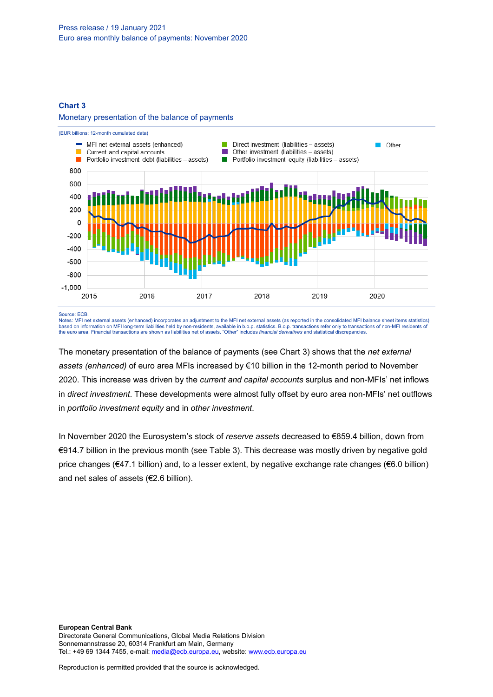## **Chart 3**

### Monetary presentation of the balance of payments



Source: ECB.

Notes: MFI net external assets (enhanced) incorporates an adjustment to the MFI net external assets (as reported in the consolidated MFI balance sheet items statistics) based on information on MFI long-term liabilities held by non-residents, available in b.o.p. statistics. B.o.p. transactions refer only to transactions of non-MFI residents of<br>the euro area. Financial transactions are show

The monetary presentation of the balance of payments (see Chart 3) shows that the *net external assets (enhanced)* of euro area MFIs increased by €10 billion in the 12-month period to November 2020. This increase was driven by the *current and capital accounts* surplus and non-MFIs' net inflows in *direct investment*. These developments were almost fully offset by euro area non-MFIs' net outflows in *portfolio investment equity* and in *other investment*.

In November 2020 the Eurosystem's stock of *reserve assets* decreased to €859.4 billion, down from €914.7 billion in the previous month (see Table 3). This decrease was mostly driven by negative gold price changes (€47.1 billion) and, to a lesser extent, by negative exchange rate changes (€6.0 billion) and net sales of assets (€2.6 billion).

**European Central Bank** Directorate General Communications, Global Media Relations Division Sonnemannstrasse 20, 60314 Frankfurt am Main, Germany Tel.: +49 69 1344 7455, e-mail[: media@ecb.europa.eu,](mailto:media@ecb.europa.eu) website[: www.ecb.europa.eu](http://www.ecb.europa.eu/)